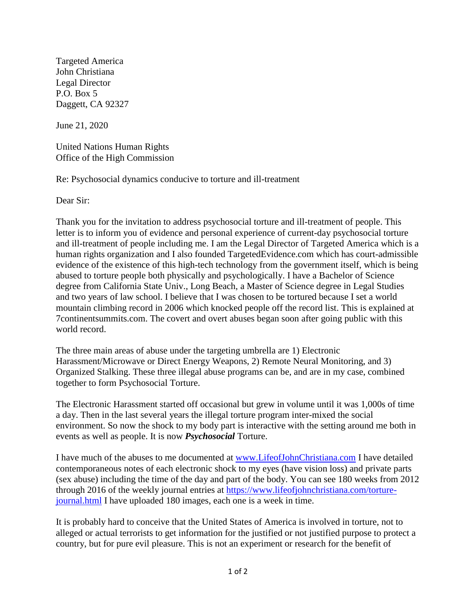Targeted America John Christiana Legal Director P.O. Box 5 Daggett, CA 92327

June 21, 2020

United Nations Human Rights Office of the High Commission

Re: Psychosocial dynamics conducive to torture and ill-treatment

Dear Sir:

Thank you for the invitation to address psychosocial torture and ill-treatment of people. This letter is to inform you of evidence and personal experience of current-day psychosocial torture and ill-treatment of people including me. I am the Legal Director of Targeted America which is a human rights organization and I also founded TargetedEvidence.com which has court-admissible evidence of the existence of this high-tech technology from the government itself, which is being abused to torture people both physically and psychologically. I have a Bachelor of Science degree from California State Univ., Long Beach, a Master of Science degree in Legal Studies and two years of law school. I believe that I was chosen to be tortured because I set a world mountain climbing record in 2006 which knocked people off the record list. This is explained at 7continentsummits.com. The covert and overt abuses began soon after going public with this world record.

The three main areas of abuse under the targeting umbrella are 1) Electronic Harassment/Microwave or Direct Energy Weapons, 2) Remote Neural Monitoring, and 3) Organized Stalking. These three illegal abuse programs can be, and are in my case, combined together to form Psychosocial Torture.

The Electronic Harassment started off occasional but grew in volume until it was 1,000s of time a day. Then in the last several years the illegal torture program inter-mixed the social environment. So now the shock to my body part is interactive with the setting around me both in events as well as people. It is now *Psychosocial* Torture.

I have much of the abuses to me documented at [www.LifeofJohnChristiana.com](http://www.lifeofjohnchristiana.com/) I have detailed contemporaneous notes of each electronic shock to my eyes (have vision loss) and private parts (sex abuse) including the time of the day and part of the body. You can see 180 weeks from 2012 through 2016 of the weekly journal entries at [https://www.lifeofjohnchristiana.com/torture](https://www.lifeofjohnchristiana.com/torture-journal.html)[journal.html](https://www.lifeofjohnchristiana.com/torture-journal.html) I have uploaded 180 images, each one is a week in time.

It is probably hard to conceive that the United States of America is involved in torture, not to alleged or actual terrorists to get information for the justified or not justified purpose to protect a country, but for pure evil pleasure. This is not an experiment or research for the benefit of